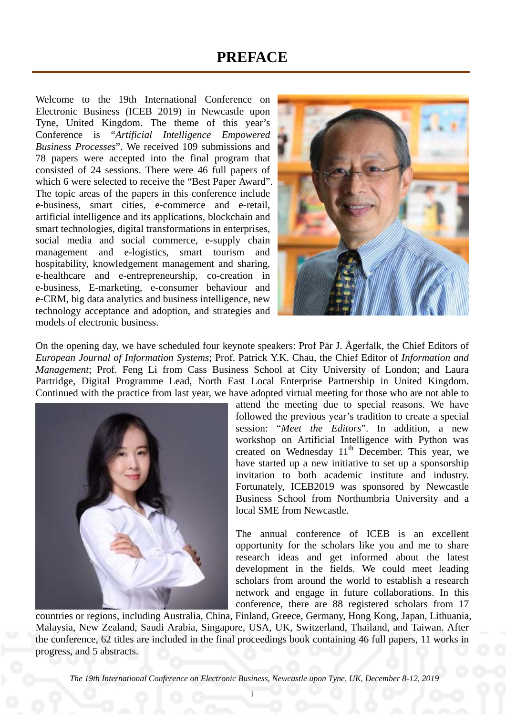## **PREFACE**

Welcome to the 19th International Conference on Electronic Business (ICEB 2019) in Newcastle upon Tyne, United Kingdom. The theme of this year's Conference is "*Artificial Intelligence Empowered Business Processes*". We received 109 submissions and 78 papers were accepted into the final program that consisted of 24 sessions. There were 46 full papers of which 6 were selected to receive the "Best Paper Award". The topic areas of the papers in this conference include e-business, smart cities, e-commerce and e-retail, artificial intelligence and its applications, blockchain and smart technologies, digital transformations in enterprises, social media and social commerce, e-supply chain management and e-logistics, smart tourism and hospitability, knowledgement management and sharing, e-healthcare and e-entrepreneurship, co-creation in e-business, E-marketing, e-consumer behaviour and e-CRM, big data analytics and business intelligence, new technology acceptance and adoption, and strategies and models of electronic business.



On the opening day, we have scheduled four keynote speakers: Prof Pär J. Ågerfalk, the Chief Editors of *European Journal of Information Systems*; Prof. Patrick Y.K. Chau, the Chief Editor of *Information and Management*; Prof. Feng Li from Cass Business School at City University of London; and Laura Partridge, Digital Programme Lead, North East Local Enterprise Partnership in United Kingdom. Continued with the practice from last year, we have adopted virtual meeting for those who are not able to



attend the meeting due to special reasons. We have followed the previous year's tradition to create a special session: "*Meet the Editors*". In addition, a new workshop on Artificial Intelligence with Python was created on Wednesday  $11<sup>th</sup>$  December. This year, we have started up a new initiative to set up a sponsorship invitation to both academic institute and industry. Fortunately, ICEB2019 was sponsored by Newcastle Business School from Northumbria University and a local SME from Newcastle.

The annual conference of ICEB is an excellent opportunity for the scholars like you and me to share research ideas and get informed about the latest development in the fields. We could meet leading scholars from around the world to establish a research network and engage in future collaborations. In this conference, there are 88 registered scholars from 17

countries or regions, including Australia, China, Finland, Greece, Germany, Hong Kong, Japan, Lithuania, Malaysia, New Zealand, Saudi Arabia, Singapore, USA, UK, Switzerland, Thailand, and Taiwan. After the conference, 62 titles are included in the final proceedings book containing 46 full papers, 11 works in progress, and 5 abstracts.